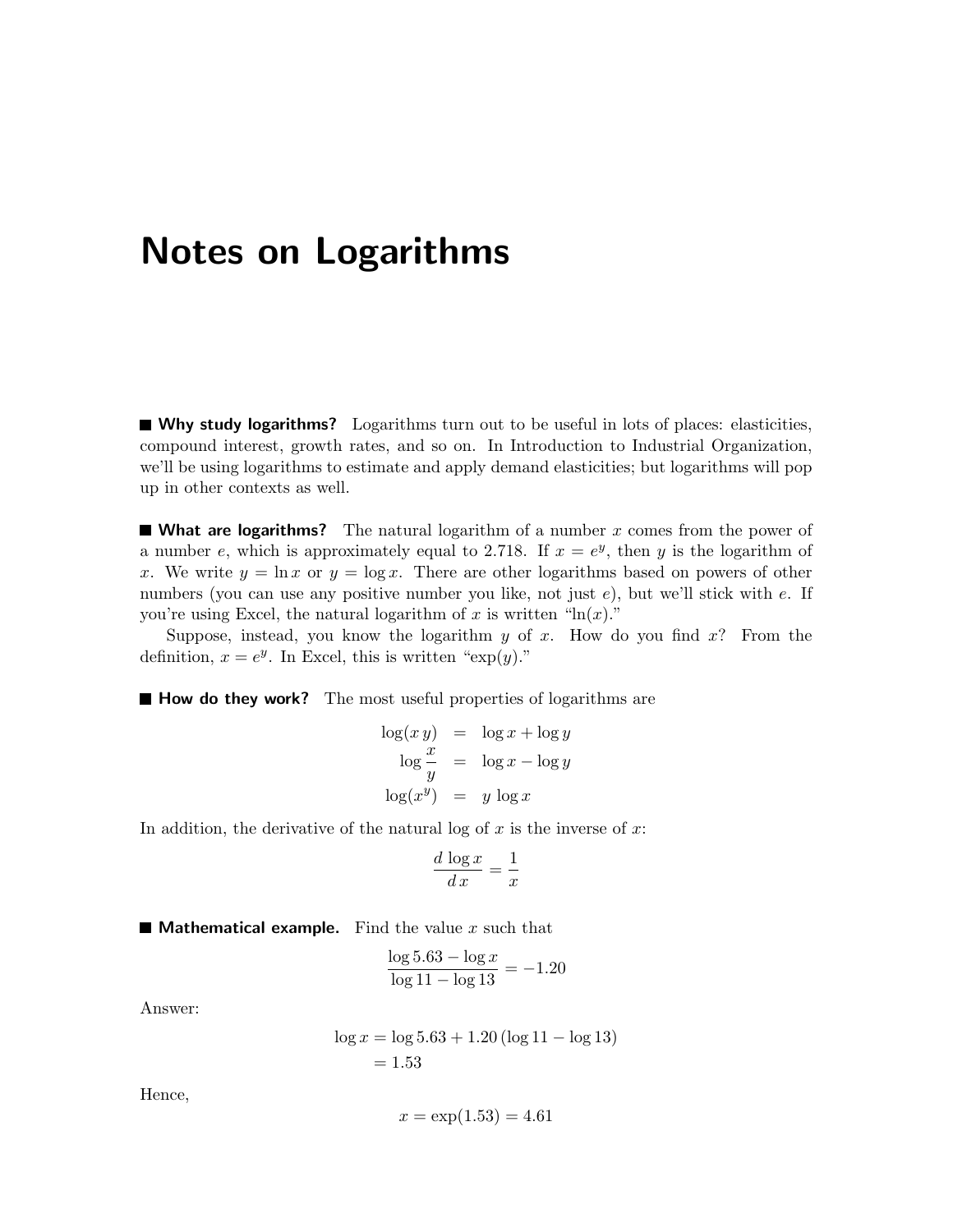## Notes on Logarithms

Why study logarithms? Logarithms turn out to be useful in lots of places: elasticities, compound interest, growth rates, and so on. In Introduction to Industrial Organization, we'll be using logarithms to estimate and apply demand elasticities; but logarithms will pop up in other contexts as well.

**What are logarithms?** The natural logarithm of a number  $x$  comes from the power of a number e, which is approximately equal to 2.718. If  $x = e^y$ , then y is the logarithm of x. We write  $y = \ln x$  or  $y = \log x$ . There are other logarithms based on powers of other numbers (you can use any positive number you like, not just e), but we'll stick with e. If you're using Excel, the natural logarithm of x is written " $\ln(x)$ ."

Suppose, instead, you know the logarithm y of x. How do you find  $x$ ? From the definition,  $x = e^y$ . In Excel, this is written " $\exp(y)$ ."

 $\blacksquare$  How do they work? The most useful properties of logarithms are

$$
\log(xy) = \log x + \log y
$$

$$
\log \frac{x}{y} = \log x - \log y
$$

$$
\log(x^y) = y \log x
$$

In addition, the derivative of the natural log of  $x$  is the inverse of  $x$ :

$$
\frac{d \log x}{d x} = \frac{1}{x}
$$

**Mathematical example.** Find the value x such that

$$
\frac{\log 5.63 - \log x}{\log 11 - \log 13} = -1.20
$$

Answer:

$$
\log x = \log 5.63 + 1.20 \left( \log 11 - \log 13 \right) \n= 1.53
$$

Hence,

$$
x = \exp(1.53) = 4.61
$$